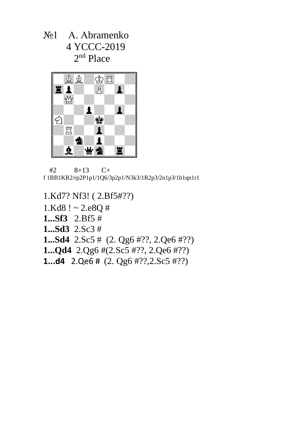№1 А. Аbramenko 4 YCCC-2019 2<sup>nd</sup> Place



 #2 8+13 C+ f 1BB1KR2/rp2P1p1/1Q6/3p2p1/N3k3/1R2p3/2n1p3/1b1qn1r1

1.Kd7? Nf3! ( 2.Bf5#??)  $1.Kd8! \sim 2.e8Q#$ **1...Sf3** 2.Bf5 # **1...Sd3** 2.Sc3 # **1...Sd4** 2.Sc5 # (2. Qg6 #??, 2.Qe6 #??) **1...Qd4** 2.Qg6 #(2.Sc5 #??, 2.Qe6 #??) **1...d4** 2.Qe6 # (2. Qg6 #??,2.Sc5 #??)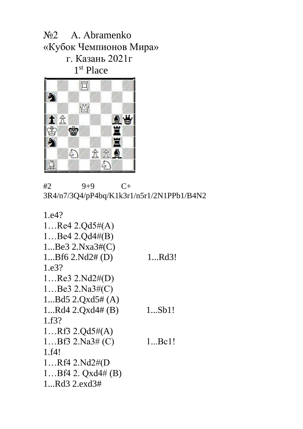№2 А. Аbramenko «Кубок Чемпионов Мира» г. Казань 2021г 1<sup>st</sup> Place



#2 9+9 C+ 3R4/n7/3Q4/pP4bq/K1k3r1/n5r1/2N1PPb1/B4N2

| 1.e4?                 |             |
|-----------------------|-------------|
| 1Re4 2.Qd5# $(A)$     |             |
| 1Be4 2.Qd4#(B)        |             |
| 1Be3 2.Nxa3# $(C)$    |             |
| $1Bf6$ $2.Nd2# (D)$   | 1Rd3!       |
| 1.e3?                 |             |
| $1$ Re3 2.Nd2#(D)     |             |
| 1Be3 2.Na3# $(C)$     |             |
| 1Bd5 $2.Qxd5# (A)$    |             |
| $1Rd4$ $2.Qxd4# (B)$  | 1Sb1!       |
| 1.f3?                 |             |
| 1Rf3 $2.Qd5#(A)$      |             |
| 1Bf3 2.Na3# (C)       | $1$ Bc $1!$ |
| 1.f4!                 |             |
| 1Rf4 2.Nd2#(D)        |             |
| $1Bf4$ 2. $Qxd4# (B)$ |             |
| $1Rd3$ $2.exd3#$      |             |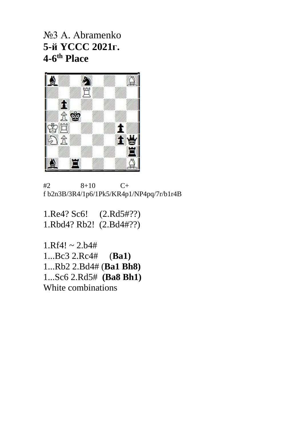№3 А. Аbramenko **5-й YCCC 2021г. 4-6 th Place**



 $#2$  8+10 C+ f b2n3B/3R4/1p6/1Pk5/KR4p1/NP4pq/7r/b1r4B

1.Re4? Sc6! (2.Rd5#??) 1.Rbd4? Rb2! (2.Bd4#??)

 $1. Rf4! \sim 2. b4#$ 1...Bc3 2.Rc4# (**Ba1)** 1...Rb2 2.Bd4# (**Ba1 Bh8)** 1...Sc6 2.Rd5# **(Ba8 Bh1)**  White combinations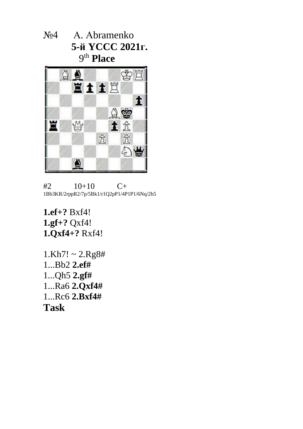№4 А. Аbramenko  **5-й YCCC 2021г.**  9 th **Place**



 $#2 \qquad 10+10 \qquad C+$ 1Bb3KR/2rppR2/7p/5Bk1/r1Q2pP1/4P1P1/6Nq/2b5

**1.ef+?** Bxf4! **1.gf+?** Qxf4! **1.Qxf4+?** Rxf4!

 $1.Kh7! \sim 2.Rg8#$ 1...Bb2 **2.ef#** 1...Qh5 **2.gf#**  1...Ra6 **2.Qxf4#**  1...Rc6 **2.Bxf4# Task**